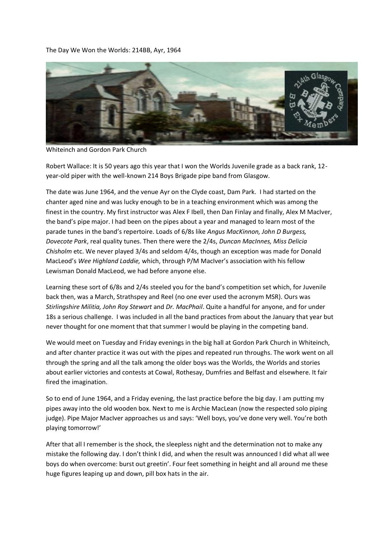## The Day We Won the Worlds: 214BB, Ayr, 1964



Whiteinch and Gordon Park Church

Robert Wallace: It is 50 years ago this year that I won the Worlds Juvenile grade as a back rank, 12 year-old piper with the well-known 214 Boys Brigade pipe band from Glasgow.

The date was June 1964, and the venue Ayr on the Clyde coast, Dam Park. I had started on the chanter aged nine and was lucky enough to be in a teaching environment which was among the finest in the country. My first instructor was Alex F Ibell, then Dan Finlay and finally, Alex M MacIver, the band's pipe major. I had been on the pipes about a year and managed to learn most of the parade tunes in the band's repertoire. Loads of 6/8s like *Angus MacKinnon, John D Burgess, Dovecote Park*, real quality tunes. Then there were the 2/4s, *Duncan MacInnes, Miss Delicia Chisholm* etc. We never played 3/4s and seldom 4/4s, though an exception was made for Donald MacLeod's *Wee Highland Laddie,* which, through P/M MacIver's association with his fellow Lewisman Donald MacLeod, we had before anyone else.

Learning these sort of 6/8s and 2/4s steeled you for the band's competition set which, for Juvenile back then, was a March, Strathspey and Reel (no one ever used the acronym MSR). Ours was *Stirlingshire Militia, John Roy Stewart* and *Dr. MacPhail*. Quite a handful for anyone, and for under 18s a serious challenge. I was included in all the band practices from about the January that year but never thought for one moment that that summer I would be playing in the competing band.

We would meet on Tuesday and Friday evenings in the big hall at Gordon Park Church in Whiteinch, and after chanter practice it was out with the pipes and repeated run throughs. The work went on all through the spring and all the talk among the older boys was the Worlds, the Worlds and stories about earlier victories and contests at Cowal, Rothesay, Dumfries and Belfast and elsewhere. It fair fired the imagination.

So to end of June 1964, and a Friday evening, the last practice before the big day. I am putting my pipes away into the old wooden box. Next to me is Archie MacLean (now the respected solo piping judge). Pipe Major MacIver approaches us and says: 'Well boys, you've done very well. You're both playing tomorrow!'

After that all I remember is the shock, the sleepless night and the determination not to make any mistake the following day. I don't think I did, and when the result was announced I did what all wee boys do when overcome: burst out greetin'. Four feet something in height and all around me these huge figures leaping up and down, pill box hats in the air.